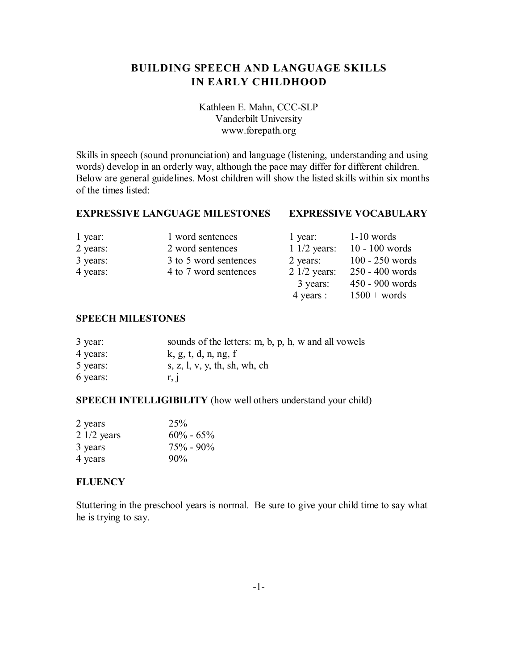# **BUILDING SPEECH AND LANGUAGE SKILLS IN EARLY CHILDHOOD**

Kathleen E. Mahn, CCC-SLP Vanderbilt University www.forepath.org

Skills in speech (sound pronunciation) and language (listening, understanding and using words) develop in an orderly way, although the pace may differ for different children. Below are general guidelines. Most children will show the listed skills within six months of the times listed:

# **EXPRESSIVE LANGUAGE MILESTONES EXPRESSIVE VOCABULARY**

| 1 year:  | 1 word sentences      | 1 year:                | $1-10$ words      |
|----------|-----------------------|------------------------|-------------------|
| 2 years: | 2 word sentences      | $11/2$ years:          | $10 - 100$ words  |
| 3 years: | 3 to 5 word sentences | 2 years:               | $100 - 250$ words |
| 4 years: | 4 to 7 word sentences | $2 \frac{1}{2}$ years: | 250 - 400 words   |
|          |                       | 3 years:               | $450 - 900$ words |
|          |                       | 4 years :              | $1500 + words$    |

## **SPEECH MILESTONES**

| 3 year:  | sounds of the letters: m, b, p, h, w and all vowels |
|----------|-----------------------------------------------------|
| 4 years: | k, g, t, d, n, ng, f                                |
| 5 years: | s, z, l, v, y, th, sh, wh, ch                       |
| 6 years: | r. 1                                                |

#### **SPEECH INTELLIGIBILITY** (how well others understand your child)

| 2 years      | 25%           |
|--------------|---------------|
| $21/2$ years | $60\% - 65\%$ |
| 3 years      | $75\% - 90\%$ |
| 4 years      | 90%           |

#### **FLUENCY**

Stuttering in the preschool years is normal. Be sure to give your child time to say what he is trying to say.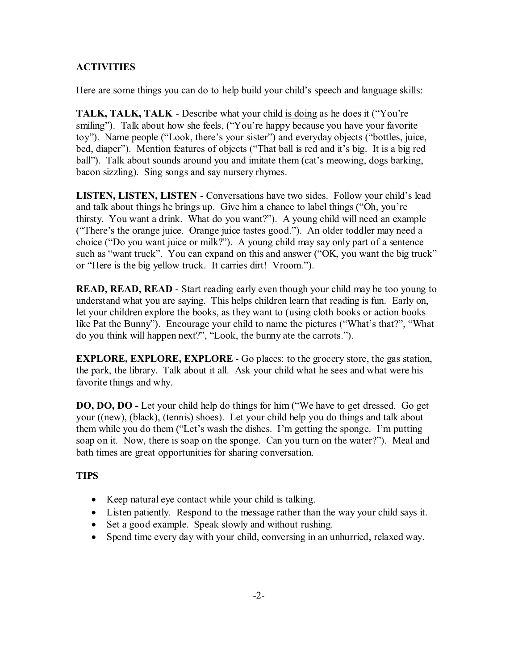# **ACTIVITIES**

Here are some things you can do to help build your child's speech and language skills:

**TALK, TALK, TALK** - Describe what your child is doing as he does it ("You're smiling"). Talk about how she feels, ("You're happy because you have your favorite toy"). Name people ("Look, there's your sister") and everyday objects ("bottles, juice, bed, diaper"). Mention features of objects ("That ball is red and it's big. It is a big red ball"). Talk about sounds around you and imitate them (cat's meowing, dogs barking, bacon sizzling). Sing songs and say nursery rhymes.

**LISTEN, LISTEN, LISTEN** - Conversations have two sides. Follow your child's lead and talk about things he brings up. Give him a chance to label things ("Oh, you're thirsty. You want a drink. What do you want?"). A young child will need an example ("There's the orange juice. Orange juice tastes good."). An older toddler may need a choice ("Do you want juice or milk?"). A young child may say only part of a sentence such as "want truck". You can expand on this and answer ("OK, you want the big truck" or "Here is the big yellow truck. It carries dirt! Vroom.").

**READ, READ, READ** - Start reading early even though your child may be too young to understand what you are saying. This helps children learn that reading is fun. Early on, let your children explore the books, as they want to (using cloth books or action books like Pat the Bunny"). Encourage your child to name the pictures ("What's that?", "What do you think will happen next?", "Look, the bunny ate the carrots.").

**EXPLORE, EXPLORE, EXPLORE** - Go places: to the grocery store, the gas station, the park, the library. Talk about it all. Ask your child what he sees and what were his favorite things and why.

**DO, DO, DO -** Let your child help do things for him ("We have to get dressed. Go get your ((new), (black), (tennis) shoes). Let your child help you do things and talk about them while you do them ("Let's wash the dishes. I'm getting the sponge. I'm putting soap on it. Now, there is soap on the sponge. Can you turn on the water?"). Meal and bath times are great opportunities for sharing conversation.

#### **TIPS**

Keep natural eye contact while your child is talking. Listen patiently. Respond to the message rather than the way your child says it. Set a good example. Speak slowly and without rushing. Spend time every day with your child, conversing in an unhurried, relaxed way.